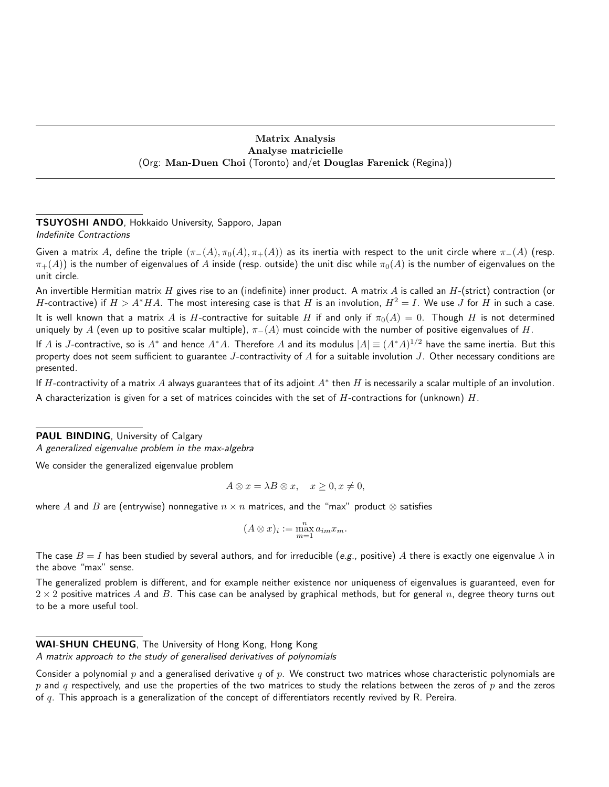#### Matrix Analysis Analyse matricielle (Org: Man-Duen Choi (Toronto) and/et Douglas Farenick (Regina))

#### TSUYOSHI ANDO, Hokkaido University, Sapporo, Japan Indefinite Contractions

Given a matrix A, define the triple  $(\pi_-(A), \pi_0(A), \pi_+(A))$  as its inertia with respect to the unit circle where  $\pi_-(A)$  (resp.  $\pi_+(A)$ ) is the number of eigenvalues of A inside (resp. outside) the unit disc while  $\pi_0(A)$  is the number of eigenvalues on the unit circle.

An invertible Hermitian matrix H gives rise to an (indefinite) inner product. A matrix A is called an  $H$ -(strict) contraction (or H-contractive) if  $H > A^*H A$ . The most interesing case is that H is an involution,  $H^2 = I$ . We use J for H in such a case. It is well known that a matrix A is H-contractive for suitable H if and only if  $\pi_0(A) = 0$ . Though H is not determined uniquely by A (even up to positive scalar multiple),  $\pi_-(A)$  must coincide with the number of positive eigenvalues of H.

If  $A$  is  $J$ -contractive, so is  $A^*$  and hence  $A^*A$ . Therefore  $A$  and its modulus  $|A|\equiv (A^*A)^{1/2}$  have the same inertia. But this property does not seem sufficient to guarantee J-contractivity of  $A$  for a suitable involution J. Other necessary conditions are presented.

If  $H$ -contractivity of a matrix  $A$  always guarantees that of its adjoint  $A^*$  then  $H$  is necessarily a scalar multiple of an involution. A characterization is given for a set of matrices coincides with the set of  $H$ -contractions for (unknown)  $H$ .

PAUL BINDING, University of Calgary

A generalized eigenvalue problem in the max-algebra

We consider the generalized eigenvalue problem

$$
A \otimes x = \lambda B \otimes x, \quad x \ge 0, x \ne 0,
$$

where A and B are (entrywise) nonnegative  $n \times n$  matrices, and the "max" product  $\otimes$  satisfies

$$
(A \otimes x)_i := \max_{m=1}^n a_{im} x_m.
$$

The case  $B = I$  has been studied by several authors, and for irreducible (e.g., positive) A there is exactly one eigenvalue  $\lambda$  in the above "max" sense.

The generalized problem is different, and for example neither existence nor uniqueness of eigenvalues is guaranteed, even for  $2 \times 2$  positive matrices A and B. This case can be analysed by graphical methods, but for general n, degree theory turns out to be a more useful tool.

WAI-SHUN CHEUNG, The University of Hong Kong, Hong Kong

A matrix approach to the study of generalised derivatives of polynomials

Consider a polynomial p and a generalised derivative q of p. We construct two matrices whose characteristic polynomials are p and q respectively, and use the properties of the two matrices to study the relations between the zeros of p and the zeros of q. This approach is a generalization of the concept of differentiators recently revived by R. Pereira.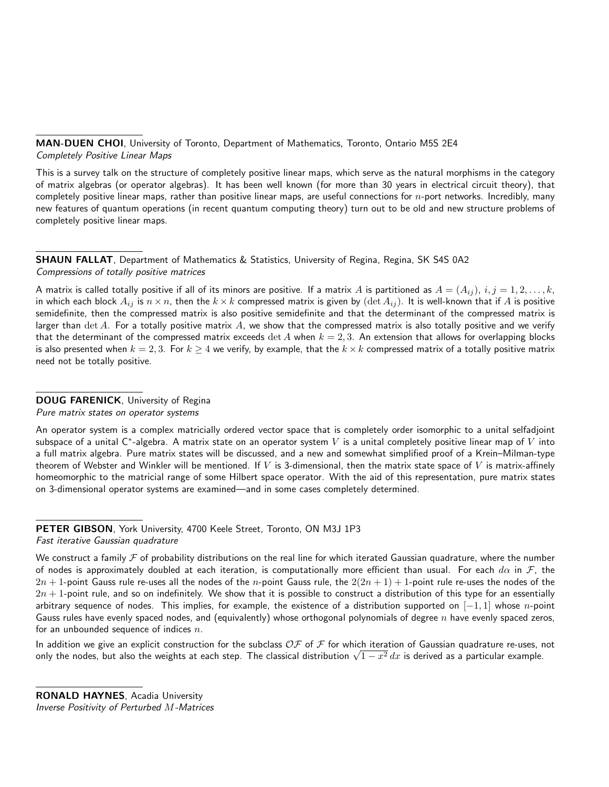MAN-DUEN CHOI, University of Toronto, Department of Mathematics, Toronto, Ontario M5S 2E4 Completely Positive Linear Maps

This is a survey talk on the structure of completely positive linear maps, which serve as the natural morphisms in the category of matrix algebras (or operator algebras). It has been well known (for more than 30 years in electrical circuit theory), that completely positive linear maps, rather than positive linear maps, are useful connections for  $n$ -port networks. Incredibly, many new features of quantum operations (in recent quantum computing theory) turn out to be old and new structure problems of completely positive linear maps.

SHAUN FALLAT, Department of Mathematics & Statistics, University of Regina, Regina, SK S4S 0A2 Compressions of totally positive matrices

A matrix is called totally positive if all of its minors are positive. If a matrix A is partitioned as  $A = (A_{ij})$ ,  $i, j = 1, 2, \ldots, k$ , in which each block  $A_{ij}$  is  $n \times n$ , then the  $k \times k$  compressed matrix is given by (det  $A_{ij}$ ). It is well-known that if A is positive semidefinite, then the compressed matrix is also positive semidefinite and that the determinant of the compressed matrix is larger than det A. For a totally positive matrix A, we show that the compressed matrix is also totally positive and we verify that the determinant of the compressed matrix exceeds  $\det A$  when  $k = 2, 3$ . An extension that allows for overlapping blocks is also presented when  $k = 2, 3$ . For  $k \ge 4$  we verify, by example, that the  $k \times k$  compressed matrix of a totally positive matrix need not be totally positive.

## DOUG FARENICK, University of Regina

Pure matrix states on operator systems

An operator system is a complex matricially ordered vector space that is completely order isomorphic to a unital selfadjoint subspace of a unital C\*-algebra. A matrix state on an operator system  $V$  is a unital completely positive linear map of  $V$  into a full matrix algebra. Pure matrix states will be discussed, and a new and somewhat simplified proof of a Krein–Milman-type theorem of Webster and Winkler will be mentioned. If V is 3-dimensional, then the matrix state space of V is matrix-affinely homeomorphic to the matricial range of some Hilbert space operator. With the aid of this representation, pure matrix states on 3-dimensional operator systems are examined—and in some cases completely determined.

PETER GIBSON, York University, 4700 Keele Street, Toronto, ON M3J 1P3 Fast iterative Gaussian quadrature

In addition we give an explicit construction for the subclass  $OF$  of F for which iteration of Gaussian quadrature re-uses, not in addition we give an explicit construction for the subclass  $\cup$  or  $\overline{\phantom{a}}$  for which iteration of Gaussian quadrature re-uses, r<br>only the nodes, but also the weights at each step. The classical distribution  $\sqrt{1-x^$ 

We construct a family  $\mathcal F$  of probability distributions on the real line for which iterated Gaussian quadrature, where the number of nodes is approximately doubled at each iteration, is computationally more efficient than usual. For each  $d\alpha$  in  $\mathcal F$ , the  $2n + 1$ -point Gauss rule re-uses all the nodes of the n-point Gauss rule, the  $2(2n + 1) + 1$ -point rule re-uses the nodes of the  $2n + 1$ -point rule, and so on indefinitely. We show that it is possible to construct a distribution of this type for an essentially arbitrary sequence of nodes. This implies, for example, the existence of a distribution supported on  $[-1, 1]$  whose n-point Gauss rules have evenly spaced nodes, and (equivalently) whose orthogonal polynomials of degree  $n$  have evenly spaced zeros, for an unbounded sequence of indices  $n$ .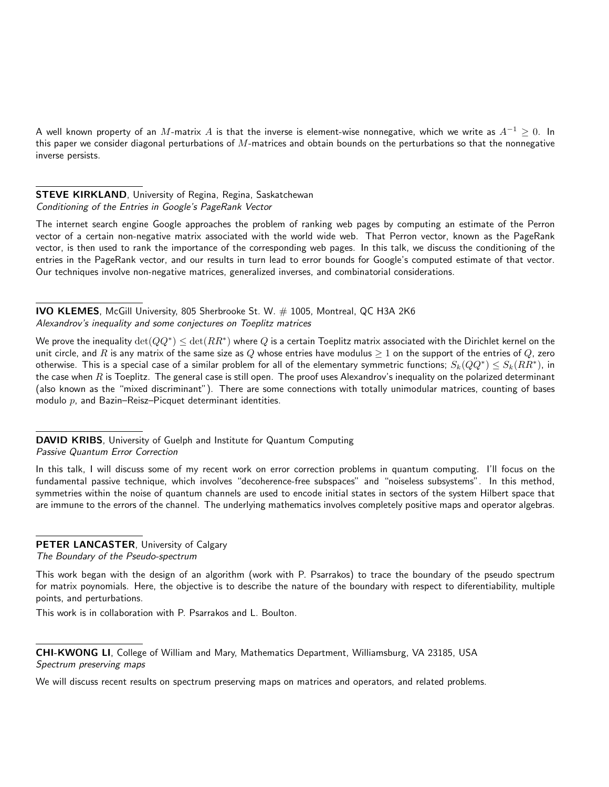A well known property of an M-matrix A is that the inverse is element-wise nonnegative, which we write as  $A^{-1} \ge 0$ . In this paper we consider diagonal perturbations of  $M$ -matrices and obtain bounds on the perturbations so that the nonnegative inverse persists.

# STEVE KIRKLAND, University of Regina, Regina, Saskatchewan Conditioning of the Entries in Google's PageRank Vector

The internet search engine Google approaches the problem of ranking web pages by computing an estimate of the Perron vector of a certain non-negative matrix associated with the world wide web. That Perron vector, known as the PageRank vector, is then used to rank the importance of the corresponding web pages. In this talk, we discuss the conditioning of the entries in the PageRank vector, and our results in turn lead to error bounds for Google's computed estimate of that vector. Our techniques involve non-negative matrices, generalized inverses, and combinatorial considerations.

IVO KLEMES, McGill University, 805 Sherbrooke St. W. # 1005, Montreal, QC H3A 2K6 Alexandrov's inequality and some conjectures on Toeplitz matrices

We prove the inequality  $\det(QQ^*)\leq \det(RR^*)$  where  $Q$  is a certain Toeplitz matrix associated with the Dirichlet kernel on the unit circle, and R is any matrix of the same size as Q whose entries have modulus  $\geq 1$  on the support of the entries of Q, zero otherwise. This is a special case of a similar problem for all of the elementary symmetric functions;  $S_k(QQ^*)\leq S_k(RR^*)$ , in the case when  $R$  is Toeplitz. The general case is still open. The proof uses Alexandrov's inequality on the polarized determinant (also known as the "mixed discriminant"). There are some connections with totally unimodular matrices, counting of bases modulo  $p$ , and Bazin–Reisz–Picquet determinant identities.

DAVID KRIBS, University of Guelph and Institute for Quantum Computing Passive Quantum Error Correction

In this talk, I will discuss some of my recent work on error correction problems in quantum computing. I'll focus on the fundamental passive technique, which involves "decoherence-free subspaces" and "noiseless subsystems". In this method, symmetries within the noise of quantum channels are used to encode initial states in sectors of the system Hilbert space that are immune to the errors of the channel. The underlying mathematics involves completely positive maps and operator algebras.

## PETER LANCASTER, University of Calgary

The Boundary of the Pseudo-spectrum

This work began with the design of an algorithm (work with P. Psarrakos) to trace the boundary of the pseudo spectrum for matrix poynomials. Here, the objective is to describe the nature of the boundary with respect to diferentiability, multiple points, and perturbations.

This work is in collaboration with P. Psarrakos and L. Boulton.

CHI-KWONG LI, College of William and Mary, Mathematics Department, Williamsburg, VA 23185, USA Spectrum preserving maps

We will discuss recent results on spectrum preserving maps on matrices and operators, and related problems.